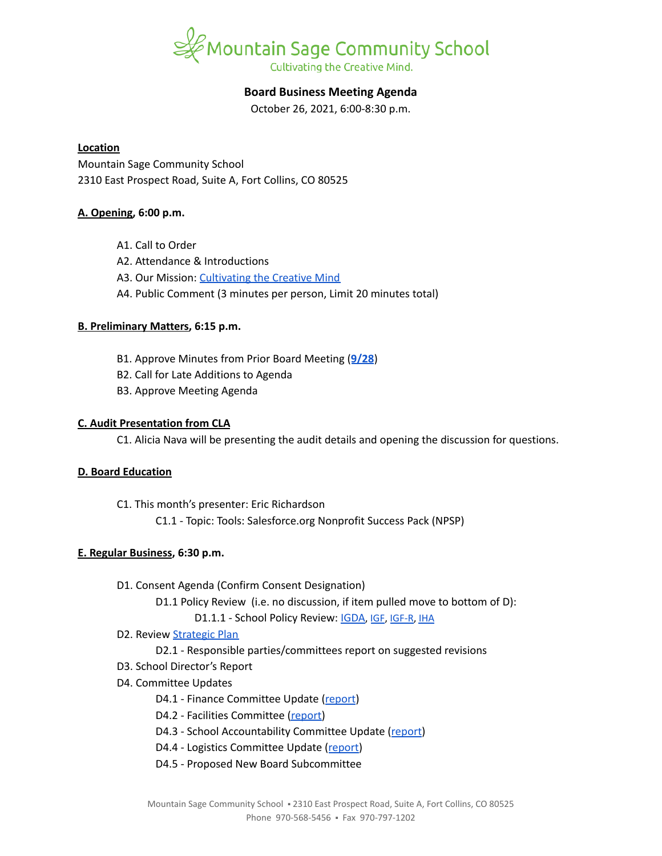

# **Board Business Meeting Agenda**

October 26, 2021, 6:00-8:30 p.m.

### **Location**

Mountain Sage Community School 2310 East Prospect Road, Suite A, Fort Collins, CO 80525

# **A. Opening, 6:00 p.m.**

- A1. Call to Order
- A2. Attendance & Introductions
- A3. Our Mission: [Cultivating](https://www.mountainsage.org/about-us/mission-and-vision/) the Creative Mind
- A4. Public Comment (3 minutes per person, Limit 20 minutes total)

# **B. Preliminary Matters, 6:15 p.m.**

- B1. Approve Minutes from Prior Board Meeting (**[9/28](https://docs.google.com/document/d/1GRTyIUuO2qU5sUk_aM3IoyuVu9U3Tpo2kcqaNTbXMk4)**)
- B2. Call for Late Additions to Agenda
- B3. Approve Meeting Agenda

# **C. Audit Presentation from CLA**

C1. Alicia Nava will be presenting the audit details and opening the discussion for questions.

# **D. Board Education**

C1. This month's presenter: Eric Richardson

C1.1 - Topic: Tools: Salesforce.org Nonprofit Success Pack (NPSP)

# **E. Regular Business, 6:30 p.m.**

- D1. Consent Agenda (Confirm Consent Designation)
	- D1.1 Policy Review (i.e. no discussion, if item pulled move to bottom of D):

D1.1.1 - School Policy Review: [IGDA](https://drive.google.com/open?id=1ONFLsWwDw5QlA0qGKI4D_B0HvphriPoS0YBWOq-vUs0), [IGF](https://drive.google.com/open?id=1YBuMipv4-8akEC1rjji4WdzpHc0a9nuVUP8uPDaN7w8), [IGF-R,](https://drive.google.com/open?id=1miaI655qSVx0mkoge_Ogf0wfQe_WHysQOHWy3E8vP_4) [IHA](https://drive.google.com/open?id=1rMNshX07qFv68v2FzhCZDtcOTvdvQ8-phi6XyMGnv2A)

- D2. Review [Strategic](https://docs.google.com/spreadsheets/d/1RR7z4DQ0Oq8Z29iw-TRpzfxcoDyemB4IFJY4Hpq8Y_k/edit?usp=sharing) Plan
	- D2.1 Responsible parties/committees report on suggested revisions
- D3. School Director's Report
- D4. Committee Updates
	- D4.1 Finance Committee Update ([report](https://docs.google.com/document/d/1Gfqp_afAWCZqySZ5OiKhPwzi8Bixt2blVQZAnDNyV_I))
	- D4.2 Facilities Committee [\(report\)](https://docs.google.com/document/d/1rLnIolyCkrxNsoDlVoVtzI-zeEI0T17xI0EBeJvQf8Y)
	- D4.3 School Accountability Committee Update [\(report](https://docs.google.com/document/d/18QzSNTGZzBrxCOtx7-8-WwmggV5kNnK0u_bPDgFpaa8))
	- D4.4 Logistics Committee Update ([report](https://docs.google.com/document/d/1GMHRhv_DyFIMGJ3VNmIkU-qw7CGW-PgFvzQ7vZpeNT8))
	- D4.5 Proposed New Board Subcommittee